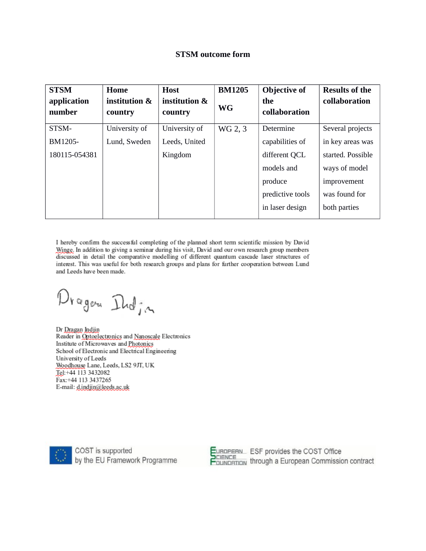# **STSM outcome form**

| <b>STSM</b><br>application<br>number | Home<br>institution &<br>country | <b>Host</b><br>institution &<br>country | <b>BM1205</b><br><b>WG</b> | <b>Objective of</b><br>the<br>collaboration | <b>Results of the</b><br>collaboration |
|--------------------------------------|----------------------------------|-----------------------------------------|----------------------------|---------------------------------------------|----------------------------------------|
| STSM-                                | University of                    | University of                           | WG 2, 3                    | Determine                                   | Several projects                       |
| BM1205-                              | Lund, Sweden                     | Leeds, United                           |                            | capabilities of                             | in key areas was                       |
| 180115-054381                        |                                  | Kingdom                                 |                            | different QCL                               | started. Possible                      |
|                                      |                                  |                                         |                            | models and                                  | ways of model                          |
|                                      |                                  |                                         |                            | produce                                     | improvement                            |
|                                      |                                  |                                         |                            | predictive tools                            | was found for                          |
|                                      |                                  |                                         |                            | in laser design                             | both parties                           |

I hereby confirm the successful completing of the planned short term scientific mission by David Winge. In addition to giving a seminar during his visit, David and our own research group members discussed in detail the comparative modelling of different quantum cascade laser structures of interest. This was useful for both research groups and plans for further cooperation between Lund and Leeds have been made.

Dragen India

Dr Dragan Indjin Reader in Optoelectronics and Nanoscale Electronics Institute of Microwaves and Photonics School of Electronic and Electrical Engineering University of Leeds Woodhouse Lane, Leeds, LS2 9JT, UK Tel:+44 113 3432082 Fax:+44 113 3437265 E-mail: d.indjin@leeds.ac.uk



COST is supported<br>by the EU Framework Programme

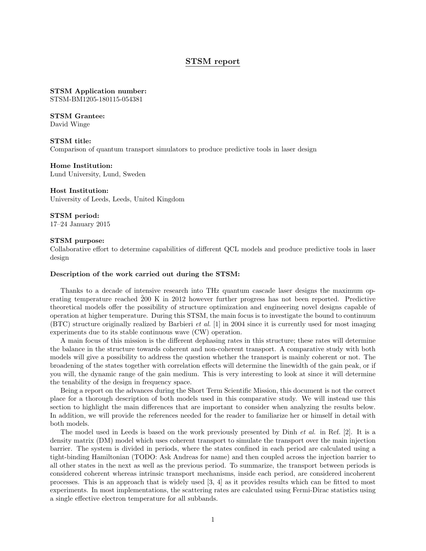## STSM report

STSM Application number: STSM-BM1205-180115-054381

STSM Grantee: David Winge

STSM title: Comparison of quantum transport simulators to produce predictive tools in laser design

Home Institution: Lund University, Lund, Sweden

Host Institution: University of Leeds, Leeds, United Kingdom

STSM period: 17–24 January 2015

## STSM purpose:

Collaborative effort to determine capabilities of different QCL models and produce predictive tools in laser design

## Description of the work carried out during the STSM:

Thanks to a decade of intensive research into THz quantum cascade laser designs the maximum operating temperature reached 200 K in 2012 however further progress has not been reported. Predictive theoretical models offer the possibility of structure optimization and engineering novel designs capable of operation at higher temperature. During this STSM, the main focus is to investigate the bound to continuum (BTC) structure originally realized by Barbieri et al. [1] in 2004 since it is currently used for most imaging experiments due to its stable continuous wave (CW) operation.

A main focus of this mission is the different dephasing rates in this structure; these rates will determine the balance in the structure towards coherent and non-coherent transport. A comparative study with both models will give a possibility to address the question whether the transport is mainly coherent or not. The broadening of the states together with correlation effects will determine the linewidth of the gain peak, or if you will, the dynamic range of the gain medium. This is very interesting to look at since it will determine the tenability of the design in frequency space.

Being a report on the advances during the Short Term Scientific Mission, this document is not the correct place for a thorough description of both models used in this comparative study. We will instead use this section to highlight the main differences that are important to consider when analyzing the results below. In addition, we will provide the references needed for the reader to familiarize her or himself in detail with both models.

The model used in Leeds is based on the work previously presented by Dinh et al. in Ref. [2]. It is a density matrix (DM) model which uses coherent transport to simulate the transport over the main injection barrier. The system is divided in periods, where the states confined in each period are calculated using a tight-binding Hamiltonian (TODO: Ask Andreas for name) and then coupled across the injection barrier to all other states in the next as well as the previous period. To summarize, the transport between periods is considered coherent whereas intrinsic transport mechanisms, inside each period, are considered incoherent processes. This is an approach that is widely used [3, 4] as it provides results which can be fitted to most experiments. In most implementations, the scattering rates are calculated using Fermi-Dirac statistics using a single effective electron temperature for all subbands.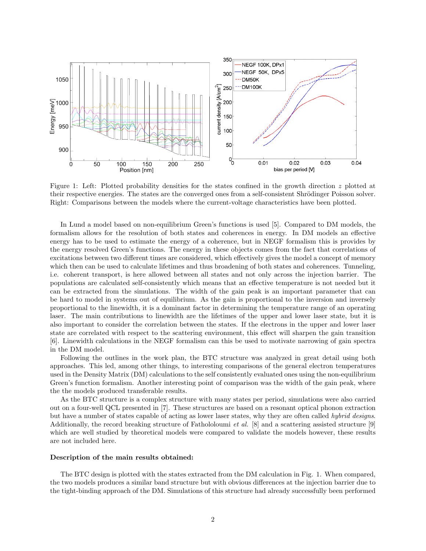

Figure 1: Left: Plotted probability densities for the states confined in the growth direction z plotted at their respective energies. The states are the converged ones from a self-consistent Shrödinger Poisson solver. Right: Comparisons between the models where the current-voltage characteristics have been plotted.

In Lund a model based on non-equilibrium Green's functions is used [5]. Compared to DM models, the formalism allows for the resolution of both states and coherences in energy. In DM models an effective energy has to be used to estimate the energy of a coherence, but in NEGF formalism this is provides by the energy resolved Green's functions. The energy in these objects comes from the fact that correlations of excitations between two different times are considered, which effectively gives the model a concept of memory which then can be used to calculate lifetimes and thus broadening of both states and coherences. Tunneling, i.e. coherent transport, is here allowed between all states and not only across the injection barrier. The populations are calculated self-consistently which means that an effective temperature is not needed but it can be extracted from the simulations. The width of the gain peak is an important parameter that can be hard to model in systems out of equilibrium. As the gain is proportional to the inversion and inversely proportional to the linewidth, it is a dominant factor in determining the temperature range of an operating laser. The main contributions to linewidth are the lifetimes of the upper and lower laser state, but it is also important to consider the correlation between the states. If the electrons in the upper and lower laser state are correlated with respect to the scattering environment, this effect will sharpen the gain transition [6]. Linewidth calculations in the NEGF formalism can this be used to motivate narrowing of gain spectra in the DM model.

Following the outlines in the work plan, the BTC structure was analyzed in great detail using both approaches. This led, among other things, to interesting comparisons of the general electron temperatures used in the Density Matrix (DM) calculations to the self consistently evaluated ones using the non-equilibrium Green's function formalism. Another interesting point of comparison was the width of the gain peak, where the the models produced transferable results.

As the BTC structure is a complex structure with many states per period, simulations were also carried out on a four-well QCL presented in [7]. These structures are based on a resonant optical phonon extraction but have a number of states capable of acting as lower laser states, why they are often called hybrid designs. Additionally, the record breaking structure of Fathololoumi et al. [8] and a scattering assisted structure [9] which are well studied by theoretical models were compared to validate the models however, these results are not included here.

#### Description of the main results obtained:

The BTC design is plotted with the states extracted from the DM calculation in Fig. 1. When compared, the two models produces a similar band structure but with obvious differences at the injection barrier due to the tight-binding approach of the DM. Simulations of this structure had already successfully been performed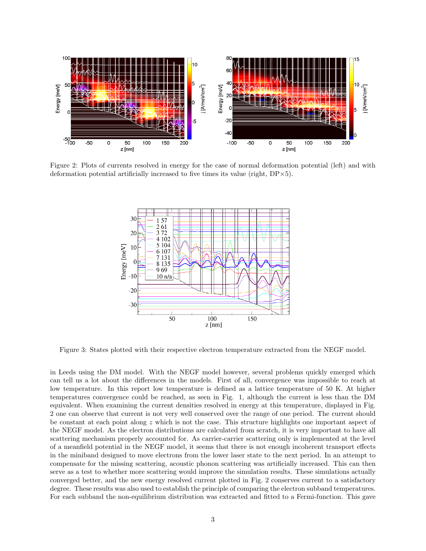

Figure 2: Plots of currents resolved in energy for the case of normal deformation potential (left) and with deformation potential artificially increased to five times its value (right,  $DP \times 5$ ).



Figure 3: States plotted with their respective electron temperature extracted from the NEGF model.

in Leeds using the DM model. With the NEGF model however, several problems quickly emerged which can tell us a lot about the differences in the models. First of all, convergence was impossible to reach at low temperature. In this report low temperature is defined as a lattice temperature of 50 K. At higher temperatures convergence could be reached, as seen in Fig. 1, although the current is less than the DM equivalent. When examining the current densities resolved in energy at this temperature, displayed in Fig. 2 one can observe that current is not very well conserved over the range of one period. The current should be constant at each point along z which is not the case. This structure highlights one important aspect of the NEGF model. As the electron distributions are calculated from scratch, it is very important to have all scattering mechanism properly accounted for. As carrier-carrier scattering only is implemented at the level of a meanfield potential in the NEGF model, it seems that there is not enough incoherent transport effects in the miniband designed to move electrons from the lower laser state to the next period. In an attempt to compensate for the missing scattering, acoustic phonon scattering was artificially increased. This can then serve as a test to whether more scattering would improve the simulation results. These simulations actually converged better, and the new energy resolved current plotted in Fig. 2 conserves current to a satisfactory degree. These results was also used to establish the principle of comparing the electron subband temperatures. For each subband the non-equilibrium distribution was extracted and fitted to a Fermi-function. This gave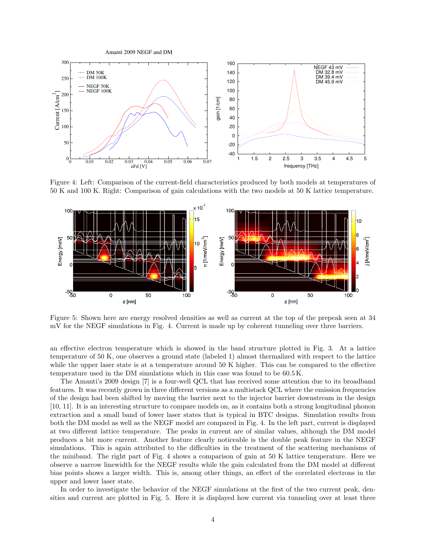

Figure 4: Left: Comparison of the current-field characteristics produced by both models at temperatures of 50 K and 100 K. Right: Comparison of gain calculations with the two models at 50 K lattice temperature.



Figure 5: Shown here are energy resolved densities as well as current at the top of the prepeak seen at 34 mV for the NEGF simulations in Fig. 4. Current is made up by coherent tunneling over three barriers.

an effective electron temperature which is showed in the band structure plotted in Fig. 3. At a lattice temperature of 50 K, one observes a ground state (labeled 1) almost thermalized with respect to the lattice while the upper laser state is at a temperature around 50 K higher. This can be compared to the effective temperature used in the DM simulations which in this case was found to be 60.5 K.

The Amanti's 2009 design [7] is a four-well QCL that has received some attention due to its broadband features. It was recently grown in three different versions as a multistack QCL where the emission frequencies of the design had been shifted by moving the barrier next to the injector barrier downstream in the design [10, 11]. It is an interesting structure to compare models on, as it contains both a strong longitudinal phonon extraction and a small band of lower laser states that is typical in BTC designs. Simulation results from both the DM model as well as the NEGF model are compared in Fig. 4. In the left part, current is displayed at two different lattice temperature. The peaks in current are of similar values, although the DM model produces a bit more current. Another feature clearly noticeable is the double peak feature in the NEGF simulations. This is again attributed to the difficulties in the treatment of the scattering mechanisms of the miniband. The right part of Fig. 4 shows a comparison of gain at 50 K lattice temperature. Here we observe a narrow linewidth for the NEGF results while the gain calculated from the DM model at different bias points shows a larger width. This is, among other things, an effect of the correlated electrons in the upper and lower laser state.

In order to investigate the behavior of the NEGF simulations at the first of the two current peak, densities and current are plotted in Fig. 5. Here it is displayed how current via tunneling over at least three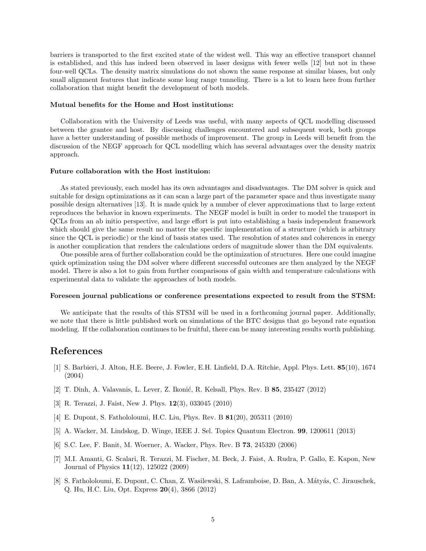barriers is transported to the first excited state of the widest well. This way an effective transport channel is established, and this has indeed been observed in laser designs with fewer wells [12] but not in these four-well QCLs. The density matrix simulations do not shown the same response at similar biases, but only small alignment features that indicate some long range tunneling. There is a lot to learn here from further collaboration that might benefit the development of both models.

### Mutual benefits for the Home and Host institutions:

Collaboration with the University of Leeds was useful, with many aspects of QCL modelling discussed between the grantee and host. By discussing challenges encountered and subsequent work, both groups have a better understanding of possible methods of improvement. The group in Leeds will benefit from the discussion of the NEGF approach for QCL modelling which has several advantages over the density matrix approach.

## Future collaboration with the Host instituion:

As stated previously, each model has its own advantages and disadvantages. The DM solver is quick and suitable for design optimizations as it can scan a large part of the parameter space and thus investigate many possible design alternatives [13]. It is made quick by a number of clever approximations that to large extent reproduces the behavior in known experiments. The NEGF model is built in order to model the transport in QCLs from an ab initio perspective, and large effort is put into establishing a basis independent framework which should give the same result no matter the specific implementation of a structure (which is arbitrary since the QCL is periodic) or the kind of basis states used. The resolution of states and coherences in energy is another complication that renders the calculations orders of magnitude slower than the DM equivalents.

One possible area of further collaboration could be the optimization of structures. Here one could imagine quick optimization using the DM solver where different successful outcomes are then analyzed by the NEGF model. There is also a lot to gain from further comparisons of gain width and temperature calculations with experimental data to validate the approaches of both models.

#### Foreseen journal publications or conference presentations expected to result from the STSM:

We anticipate that the results of this STSM will be used in a forthcoming journal paper. Additionally, we note that there is little published work on simulations of the BTC designs that go beyond rate equation modeling. If the collaboration continues to be fruitful, there can be many interesting results worth publishing.

## References

- [1] S. Barbieri, J. Alton, H.E. Beere, J. Fowler, E.H. Linfield, D.A. Ritchie, Appl. Phys. Lett. 85(10), 1674 (2004)
- [2] T. Dinh, A. Valavanis, L. Lever, Z. Ikonić, R. Kelsall, Phys. Rev. B 85, 235427 (2012)
- [3] R. Terazzi, J. Faist, New J. Phys. 12(3), 033045 (2010)
- [4] E. Dupont, S. Fathololoumi, H.C. Liu, Phys. Rev. B 81(20), 205311 (2010)
- [5] A. Wacker, M. Lindskog, D. Winge, IEEE J. Sel. Topics Quantum Electron. 99, 1200611 (2013)
- [6] S.C. Lee, F. Banit, M. Woerner, A. Wacker, Phys. Rev. B 73, 245320 (2006)
- [7] M.I. Amanti, G. Scalari, R. Terazzi, M. Fischer, M. Beck, J. Faist, A. Rudra, P. Gallo, E. Kapon, New Journal of Physics 11(12), 125022 (2009)
- [8] S. Fathololoumi, E. Dupont, C. Chan, Z. Wasilewski, S. Laframboise, D. Ban, A. Mátyás, C. Jirauschek, Q. Hu, H.C. Liu, Opt. Express 20(4), 3866 (2012)